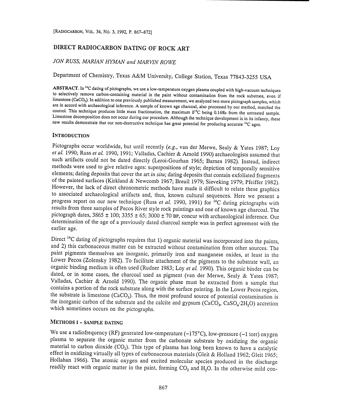# DIRECT RADIOCARBON DATING OF ROCK ART

# JON RUSS, MARIAN HYMAN and MARVIN ROWE

Department of Chemistry, Texas A&M University, College Station, Texas 77843-3255 USA

**ABSTRACT.** In <sup>14</sup>C dating of pictographs, we use a low-temperature oxygen plasma coupled with high-vacuum techniques to selectively remove carbon-containing material in the paint without contamination from the rock subs are in accord with archaeological inference. A sample of known age charcoal, also processed by our method, matched the control. This technique produces little mass fractionation, the maximum  $\delta^{13}C$  being 0.16% from the Limestone decomposition does not occur during our procedure. Although the technique development is in its infancy, these new results demonstrate that our non-destructive technique has great potential for producing accurate

## **INTRODUCTION**

Pictographs occur worldwide, but until recently (e.g., van der Merwe, Sealy & Yates 1987; Loy et al. 1990; Russ et al. 1990, 1991; Valladas, Cachier & Arnold 1990) archaeologists assumed that such artifacts could not be dated directly (Leroi-Gourhan 1965; Barnes 1982). Instead, indirect methods were used to give relative ages: superpositions of style; depiction of temporally sensitive elements; dating deposits that cover the art in situ; dating deposits that contain exfoliated fragments of the painted surfaces (Kirkland & Newcomb 1967; Breuil 1979; Sieveking 1979; Pfeiffer 1982).<br>However, the lack of direct chronometric methods have made it difficult to relate these graphics<br>to associated archaeological a progress report on our new technique (Russ et al. 1990, 1991) for <sup>14</sup>C dating pictographs with results from three samples of Pecos River style rock paintings and one of known age charcoal. The pictograph dates,  $3865 \pm 100$ ;  $3355 \pm 65$ ;  $3000 \pm 70$  BP, concur with archaeological inference. Our determination of the age of a previously dated charcoal sample was in perfect agreement with the earlier age.

Direct <sup>14</sup>C dating of pictographs requires that 1) organic material was incorporated into the paints, and 2) this carbonaceous matter can be extracted without contamination from other sources. The paint pigments themselves are inorganic, primarily iron and manganese oxides, at least in the Lower Pecos (Zolensky 1982). To facilitate attachment of the pigments to the substrate wall, an organic binding medium is often used (Rudner 1983; Loy et al. 1990). This organic binder can be dated, or in some cases, the charcoal used as pigment (van der Merwe, Sealy & Yates 1987; Valladas, Cachier & Arnold 1990). The organic phase must be extracted from a sample that contains a portion of the rock substrate along with the surface painting. In the Lower Pecos region, the substrate is limestone  $(CaCO<sub>3</sub>)$ . Thus, the most profound source of potential contamination is the inorganic carbon of the substrate and the calcite and gypsum ( $CaCO<sub>3</sub>$ ,  $CaSO<sub>4</sub>·2H<sub>2</sub>O$ ) accretion which sometimes occurs on the pictographs.

# METHODS I - SAMPLE DATING

We use a radiofrequency (RF) generated low-temperature (~175°C), low-pressure (~1 torr) oxygen<br>plasma to separate the organic matter from the carbonate substrate by oxidizing the organic<br>material to carbon dioxide (CO<sub>2</sub>) readily react with organic matter in the paint, forming  $CO_2$  and  $H_2O$ . In the otherwise mild con-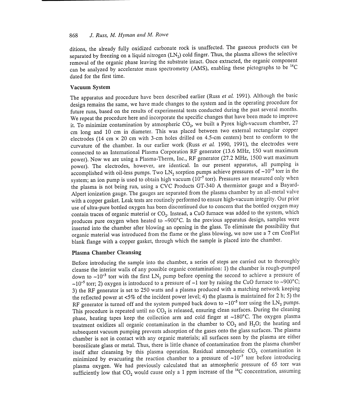# 868 J. Russ, M. Hyman and M. Rowe

ditions, the already fully oxidized carbonate rock is unaffected. The gaseous products can be separated by freezing on a liquid nitrogen  $(LN<sub>2</sub>)$  cold finger. Thus, the plasma allows the selective removal of the organic phase leaving the substrate intact. Once extracted, the organic component can be analyzed by accelerator mass spectrometry (AMS), enabling these pictographs to be <sup>14</sup>C dated for the first time.

#### Vacuum System

The apparatus and procedure have been described earlier (Russ et al. 1991). Although the basic design remains the same, we have made changes to the system and in the operating procedure for future runs, based on the results of experimental tests conducted during the past several months. We repeat the procedure here and incorporate the specific changes that have been made to improve it. To minimize contamination by atmospheric  $CO<sub>2</sub>$ , we built a Pyrex high-vacuum chamber, 27 cm long and 10 cm in diameter. This was placed between two external rectangular copper electrodes (14 cm x 20 cm with 3-cm holes drilled on 4.5-cm centers) bent to conform to the curvature of the chamber. In our earlier work (Russ et al. 1990, 1991), the electrodes were connected to an International Plasma Corporation RF generator (13.6 MHz, 150 watt maximum power). Now we are using a Plasma-Therm, Inc., RF generator (27.2 MHz, 1500 watt maximum power). The electrodes, however, are identical. In our present apparatus, all pumping is accomplished with oil-less pumps. Two  $LN_2$  sorption pumps achieve pressures of  $\sim 10^{-5}$  torr in the system; an ion pump is used to obtain high vacuum  $(10^{-7}$  torr). Pressures are measured only when the plasma is not being run, using a CVC Products GT-340 A thermistor gauge and a Bayard-Alpert ionization gauge. The gauges are separated from the plasma chamber by an all-metal valve with a copper gasket. Leak tests are routinely performed to ensure high-vacuum integrity. Our prior use of ultra-pure bottled oxygen has been discontinued due to concern that the bottled oxygen may contain traces of organic material or  $CO<sub>2</sub>$ . Instead, a CuO furnace was added to the system, which produces pure oxygen when heated to  $\sim$ 900°C. In the previous apparatus design, samples were inserted into the chamber after blowing an opening in the glass. To eliminate the possibility that organic material was introduced from the flame or the glass blowing, we now use a 7 cm ConFlat blank flange with a copper gasket, through which the sample is placed into the chamber.

# Plasma Chamber Cleansing

Before introducing the sample into the chamber, a series of steps are carried out to thoroughly cleanse the interior walls of any possible organic contamination: 1) the chamber is rough-pumped down to  $\sim 10^{-3}$  torr with the first LN<sub>2</sub> pump before opening the second to achieve a pressure of  $\sim$ 10<sup>-5</sup> torr; 2) oxygen is introduced to a pressure of  $\sim$ 1 torr by raising the CuO furnace to  $\sim$ 900°C; 3) the RF generator is set to 250 watts and a plasma produced with a matching network keeping the reflected power at <5% of the incident power level; 4) the plasma is maintained for 2 h; 5) the RF generator is turned off and the system pumped back down to  $\sim 10^{-5}$  torr using the LN<sub>2</sub> pumps. This procedure is repeated until no  $CO<sub>2</sub>$  is released, ensuring clean surfaces. During the cleaning phase, heating tapes keep the collection arm and cold finger at  $-180^{\circ}$ C. The oxygen plasma treatment oxidizes all organic contamination in the chamber to  $CO<sub>2</sub>$  and  $H<sub>2</sub>O$ ; the heating and subsequent vacuum pumping prevents adsorption of the gases onto the glass surfaces. The plasma chamber is not in contact with any organic materials; all surfaces seen by the plasma are either borosilicate glass or metal. Thus, there is little chance of contamination from the plasma chamber itself after cleansing by this plasma operation. Residual atmospheric  $CO<sub>2</sub>$  contamination is minimized by evacuating the reaction chamber to a pressure of  $-10^{-7}$  torr before introducing plasma oxygen. We had previously calculated that an atmospheric pressure of 65 torr was sufficiently low that  $CO_2$  would cause only a 1 ppm increase of the  $^{14}C$  concentration, assuming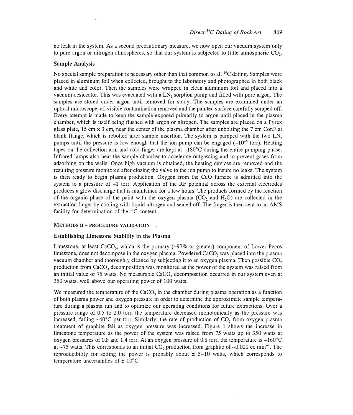no leak in the system. As a second precautionary measure, we now open our vacuum system only to pure argon or nitrogen atmospheres, so that our system is subjected to little atmospheric  $CO<sub>2</sub>$ .

## Sample Analysis

No special sample preparation is necessary other than that common to all  $^{14}C$  dating. Samples were placed in aluminum foil when collected, brought to the laboratory and photographed in both black and white and color. Then the samples were wrapped in clean aluminum foil and placed into a vacuum desiccator. This was evacuated with a LN<sub>2</sub> sorption pump and filled with pure argon. The samples are stored under argon until removed for study. The samples are examined under an optical microscope, all visible contamination removed and the painted surface carefully scraped off. Every attempt is made to keep the sample exposed primarily to argon until placed in the plasma chamber, which is itself being flushed with argon or nitrogen. The samples are placed on a Pyrex glass plate, 15 cm  $\times$  3 cm, near the center of the plasma chamber after unbolting the 7 cm ConFlat blank flange, which is rebolted after sample insertion. The system is pumped with the two LN, pumps until the pressure is low enough that the ion pump can be engaged  $(-10^{-5}$  torr). Heating tapes on the collection arm and cold finger are kept at  $-180^{\circ}$ C during the entire pumping phase. Infrared lamps also heat the sample chamber to accelerate outgassing and to prevent gases from adsorbing on the walls. Once high vacuum is obtained, the heating devices are removed and the resulting pressure monitored after closing the valve to the ion pump to insure no leaks. The system is then ready to begin plasma production. Oxygen from the Cu0 furnace is admitted into the system to a pressure of  $-1$  torr. Application of the RF potential across the external electrodes produces a glow discharge that is maintained for a few hours. The products formed by the reaction of the organic phase of the paint with the oxygen plasma  $(CO_2)$  and  $H<sub>2</sub>O$  are collected in the extraction finger by cooling with liquid nitrogen and sealed off. The finger is then sent to an AMS facility for determination of the 14C content.

#### METHODS II- PROCEDURE VALIDATION

## Establishing Limestone Stability in the Plasma

Limestone, at least CaCO<sub>3</sub>, which is the primary  $(-97\%$  or greater) component of Lower Pecos limestone, does not decompose in the oxygen plasma. Powdered  $CaCO<sub>3</sub>$  was placed into the plasma vacuum chamber and thoroughly cleaned by subjecting it to an oxygen plasma. Then possible  $CO<sub>2</sub>$ production from  $CaCO<sub>3</sub>$  decomposition was monitored as the power of the system was raised from an initial value of 75 watts. No measurable  $CaCO<sub>3</sub>$  decomposition occurred in our system even at 350 watts, well above our operating power of 100 watts.

We measured the temperature of the  $CaCO<sub>3</sub>$  in the chamber during plasma operation as a function of both plasma power and oxygen pressure in order to determine the approximate sample temperature during a plasma run and to optimize our operating conditions for future extractions. Over a pressure range of 0.5 to 2.0 torr, the temperature decreased monotonically as the pressure was increased, falling  $\sim40^{\circ}$ C per torr. Similarly, the rate of production of CO<sub>2</sub> from oxygen plasma treatment of graphite fell as oxygen pressure was increased. Figure 1 shows the increase in limestone temperature as the power of the system was raised from 75 watts up to 350 watts at oxygen pressures of 0.8 and 1.4 torr. At an oxygen pressure of 0.8 torr, the temperature is  $\sim 160^{\circ}$ C at  $-75$  watts. This corresponds to an initial CO<sub>2</sub> production from graphite of  $-0.021$  cc min<sup>-1</sup>. The reproducibility for setting the power is probably about  $\pm$  5-10 watts, which corresponds to temperature uncertainties of  $\pm$  10 $^{\circ}$ C.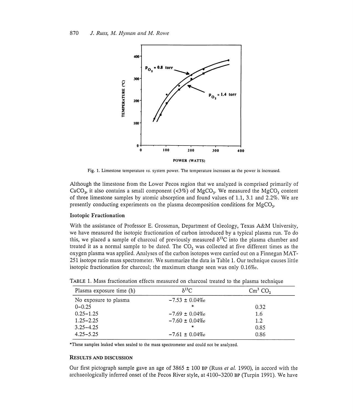

Fig. 1. Limestone temperature vs. system power. The temperature increases as the power is increased.

Although the limestone from the Lower Pecos region that we analyzed is comprised primarily of CaCO<sub>3</sub>, it also contains a small component (<3%) of MgCO<sub>3</sub>. We measured the MgCO<sub>3</sub> content of three limestone samples by atomic absorption and found values of 1.1, 3.1 and 2.2%. We are presently conducting experiments on the plasma decomposition conditions for MgCO<sub>3</sub>.

# Isotopic Fractionation

With the assistance of Professor E. Grossman, Department of Geology, Texas A&M University, we have measured the isotopic fractionation of carbon introduced by a typical plasma run. To do this, we placed a sample of charcoal of previously measured  $\delta^{13}$ C into the plasma chamber and treated it as a normal sample to be dated. The CO<sub>2</sub> was collected at five different times as the oxygen plasma was applied. Analyses of the carbon isotopes were carried out on a Finnegan MAT-251 isotope ratio mass spectrometer. We summarize the data in Table 1. Our technique causes little isotopic fractionation for charcoal; the maximum change seen was only  $0.16\%$ .

| Plasma exposure time (h) | $\delta^{13}$ C    | $\text{Cm}^3$ CO <sub>2</sub> |
|--------------------------|--------------------|-------------------------------|
| No exposure to plasma    | $-7.53 \pm 0.04\%$ |                               |
| $0 - 0.25$               | $\ast$             | 0.32                          |
| $0.25 - 1.25$            | $-7.69 \pm 0.04\%$ | 1.6                           |
| $1.25 - 2.25$            | $-7.60 \pm 0.04\%$ | 1.2                           |
| $3.25 - 4.25$            | $\ast$             | 0.85                          |
| $4.25 - 5.25$            | $-7.61 \pm 0.04\%$ | 0.86                          |

TABLE 1. Mass fractionation effects measured on charcoal treated to the plasma technique

These samples leaked when sealed to the mass spectrometer and could not be analyzed.

## RESULTS AND DISCUSSION

Our first pictograph sample gave an age of  $3865 \pm 100$  BP (Russ *et al.* 1990), in accord with the archaeologically inferred onset of the Pecos River style, at 4100-3200 BP (Turpin 1991). We have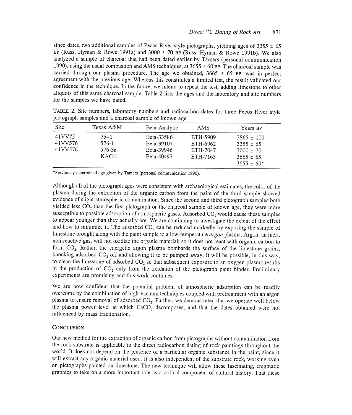since dated two additional samples of Pecos River style pictographs, yielding ages of 3355  $\pm$  65 BP (Russ, Hyman & Rowe 1991a) and  $3000 \pm 70$  BP (Russ, Hyman & Rowe 1991b). We also analyzed a sample of charcoal that had been dated earlier by Tamers (personal communication 1990), using the usual combustion and AMS techniques, at  $3655 \pm 60$  BP. The charcoal sample was carried through our plasma procedure. The age we obtained,  $3665 \pm 65$  BP, was in perfect agreement with the previous age. Whereas this constitutes a limited test, the result validated our confidence in the technique. In the future, we intend to repeat the test, adding limestone to other aliquots of this same charcoal sample. Table 2 lists the ages and the laboratory and site numbers for the samples we have dated.

| Site                         | Texas A&M                              | Beta Analytic                                        | AMS                                          | Years BP                                                                            |
|------------------------------|----------------------------------------|------------------------------------------------------|----------------------------------------------|-------------------------------------------------------------------------------------|
| 41VV75<br>41VV576<br>41VV576 | $75 - 1$<br>576-1<br>576-3a<br>$KAC-1$ | Beta-33586<br>Beta-39107<br>Beta-39946<br>Beta-40497 | ETH-5909<br>ETH-6962<br>ETH-7047<br>ETH-7165 | $3865 \pm 100$<br>$3355 \pm 65$<br>$3000 \pm 70$<br>$3665 \pm 65$<br>$3655 \pm 60*$ |

TABLE 2. Site numbers, laboratory numbers and radiocarbon dates for three Pecos River style pictograph samples and a charcoal sample of known age

\*Previously determined age given by Tamers (personal communication 1990).

Although all of the pictograph ages were consistent with archaeological estimates, the color of the plasma during the extraction of the organic carbon from the paint of the third sample showed evidence of slight atmospheric contamination. Since the second and third pictograph samples both yielded less  $CO<sub>2</sub>$  than the first pictograph or the charcoal sample of known age, they were more susceptible to possible adsorption of atmospheric gases. Adsorbed CO<sub>2</sub> would cause these samples to appear younger than they actually are. We are continuing to investigate the extent of the effect and how to minimize it. The adsorbed  $CO<sub>2</sub>$  can be reduced markedly by exposing the sample of limestone brought along with the paint sample to a low-temperature argon plasma. Argon, an inert, non-reactive gas, will not oxidize the organic material; so it does not react with organic carbon to form CO2. Rather, the energetic argon plasma bombards the surface of the limestone grains, knocking adsorbed  $CO<sub>2</sub>$  off and allowing it to be pumped away. It will be possible, in this way, to clean the limestone of adsorbed  $CO<sub>2</sub>$  so that subsequent exposure to an oxygen plasma results in the production of  $CO<sub>2</sub>$  only from the oxidation of the pictograph paint binder. Preliminary experiments are promising and this work continues.

We are now confident that the potential problem of atmospheric adsorption can be readily overcome by the combination of high-vacuum techniques coupled with pretreatment with an argon plasma to ensure removal of adsorbed  $CO<sub>2</sub>$ . Further, we demonstrated that we operate well below the plasma power level at which CaCO<sub>3</sub> decomposes, and that the dates obtained were not influenced by mass fractionation.

# **CONCLUSION**

Our new method for the extraction of organic carbon from pictographs without contamination from the rock substrate is applicable to the direct radiocarbon dating of rock paintings throughout the world. It does not depend on the presence of a particular organic substance in the paint, since it will extract any organic material used. It is also independent of the substrate rock, working even on pictographs painted on limestone. The new technique will allow these fascinating, enigmatic graphics to take on a more important role as a critical component of cultural history. That these